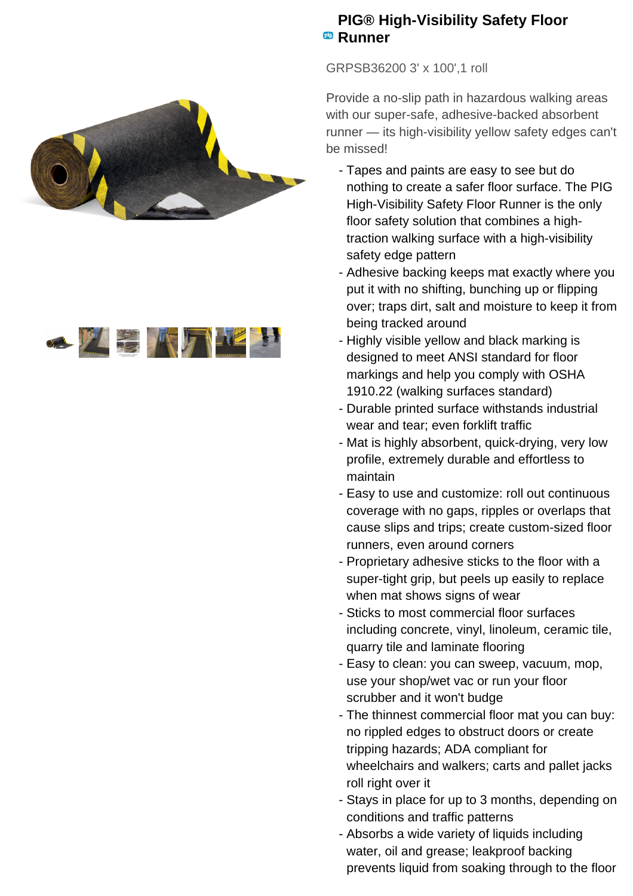



## **PIG® High-Visibility Safety Floor Runner**

GRPSB36200 3' x 100',1 roll

Provide a no-slip path in hazardous walking areas with our super-safe, adhesive-backed absorbent runner — its high-visibility yellow safety edges can't be missed!

- Tapes and paints are easy to see but do nothing to create a safer floor surface. The PIG High-Visibility Safety Floor Runner is the only floor safety solution that combines a hightraction walking surface with a high-visibility safety edge pattern
- Adhesive backing keeps mat exactly where you put it with no shifting, bunching up or flipping over; traps dirt, salt and moisture to keep it from being tracked around
- Highly visible yellow and black marking is designed to meet ANSI standard for floor markings and help you comply with OSHA 1910.22 (walking surfaces standard)
- Durable printed surface withstands industrial wear and tear; even forklift traffic
- Mat is highly absorbent, quick-drying, very low profile, extremely durable and effortless to maintain
- Easy to use and customize: roll out continuous coverage with no gaps, ripples or overlaps that cause slips and trips; create custom-sized floor runners, even around corners
- Proprietary adhesive sticks to the floor with a super-tight grip, but peels up easily to replace when mat shows signs of wear
- Sticks to most commercial floor surfaces including concrete, vinyl, linoleum, ceramic tile, quarry tile and laminate flooring
- Easy to clean: you can sweep, vacuum, mop, use your shop/wet vac or run your floor scrubber and it won't budge
- The thinnest commercial floor mat you can buy: no rippled edges to obstruct doors or create tripping hazards; ADA compliant for wheelchairs and walkers; carts and pallet jacks roll right over it
- Stays in place for up to 3 months, depending on conditions and traffic patterns
- Absorbs a wide variety of liquids including water, oil and grease; leakproof backing prevents liquid from soaking through to the floor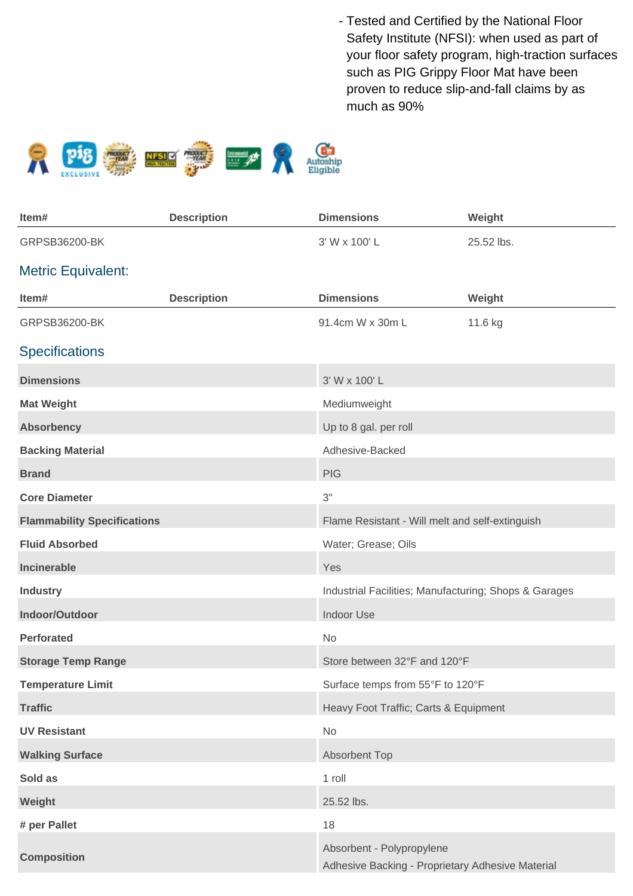Tested and Certified by the National Floor - Safety Institute (NFSI): when used as part of your floor safety program, high-traction surfaces such as PIG Grippy Floor Mat have been proven to reduce slip-and-fall claims by as much as 90%



| Item#                              | <b>Description</b> | <b>Dimensions</b>                                                             | Weight     |
|------------------------------------|--------------------|-------------------------------------------------------------------------------|------------|
| GRPSB36200-BK                      |                    | 3' W x 100' L                                                                 | 25.52 lbs. |
| <b>Metric Equivalent:</b>          |                    |                                                                               |            |
| Item#                              | <b>Description</b> | <b>Dimensions</b>                                                             | Weight     |
| GRPSB36200-BK                      |                    | 91.4cm W x 30m L                                                              | 11.6 kg    |
| <b>Specifications</b>              |                    |                                                                               |            |
| <b>Dimensions</b>                  |                    | 3' W x 100' L                                                                 |            |
| <b>Mat Weight</b>                  |                    | Mediumweight                                                                  |            |
| <b>Absorbency</b>                  |                    | Up to 8 gal. per roll                                                         |            |
| <b>Backing Material</b>            |                    | Adhesive-Backed                                                               |            |
| <b>Brand</b>                       |                    | <b>PIG</b>                                                                    |            |
| <b>Core Diameter</b>               |                    | 3"                                                                            |            |
| <b>Flammability Specifications</b> |                    | Flame Resistant - Will melt and self-extinguish                               |            |
| <b>Fluid Absorbed</b>              |                    | Water; Grease; Oils                                                           |            |
| Incinerable                        |                    | Yes                                                                           |            |
| <b>Industry</b>                    |                    | Industrial Facilities; Manufacturing; Shops & Garages                         |            |
| Indoor/Outdoor                     |                    | <b>Indoor Use</b>                                                             |            |
| <b>Perforated</b>                  |                    | No                                                                            |            |
| <b>Storage Temp Range</b>          |                    | Store between 32°F and 120°F                                                  |            |
| <b>Temperature Limit</b>           |                    | Surface temps from 55°F to 120°F                                              |            |
| <b>Traffic</b>                     |                    | Heavy Foot Traffic; Carts & Equipment                                         |            |
| <b>UV Resistant</b>                |                    | No                                                                            |            |
| <b>Walking Surface</b>             |                    | <b>Absorbent Top</b>                                                          |            |
| Sold as                            |                    | 1 roll                                                                        |            |
| Weight                             |                    | 25.52 lbs.                                                                    |            |
| # per Pallet                       |                    | 18                                                                            |            |
| <b>Composition</b>                 |                    | Absorbent - Polypropylene<br>Adhesive Backing - Proprietary Adhesive Material |            |